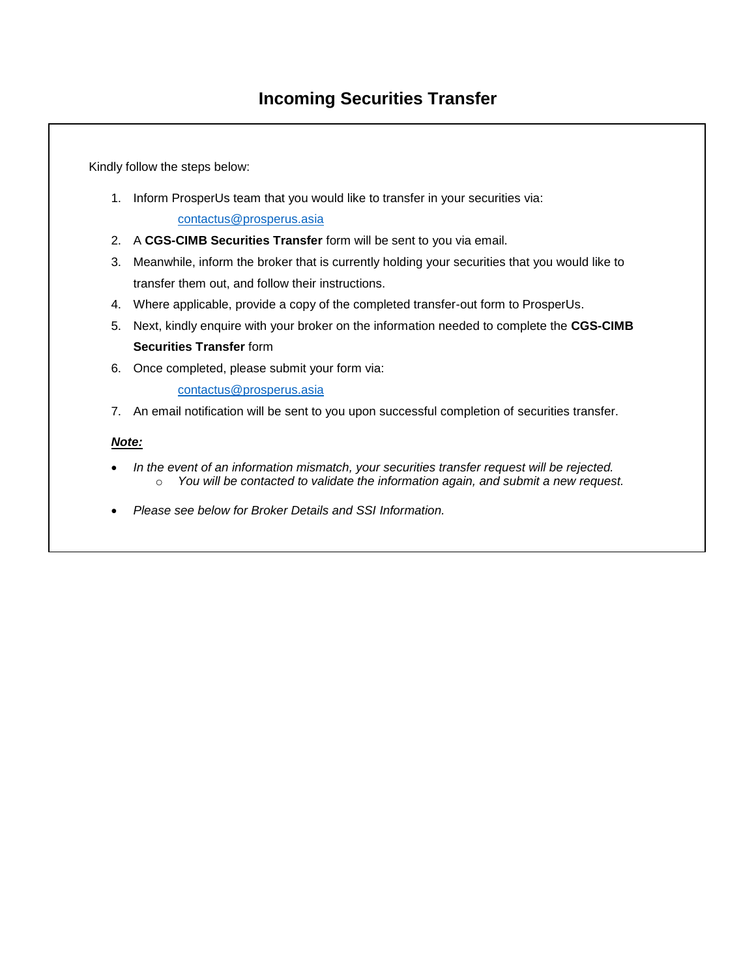Kindly follow the steps below:

- 1. Inform ProsperUs team that you would like to transfer in your securities via: contactus@prosperus.asia
- 2. A **CGS-CIMB Securities Transfer** form will be sent to you via email.
- 3. Meanwhile, inform the broker that is currently holding your securities that you would like to transfer them out, and follow their instructions.
- 4. Where applicable, provide a copy of the completed transfer-out form to ProsperUs.
- 5. Next, kindly enquire with your broker on the information needed to complete the **CGS-CIMB Securities Transfer** form
- 6. Once completed, please submit your form via:

[contactus@prosperus.asia](mailto:contactus@prosperus.asia)

7. An email notification will be sent to you upon successful completion of securities transfer.

## *Note:*

- *In the event of an information mismatch, your securities transfer request will be rejected.* o *You will be contacted to validate the information again, and submit a new request.*
- *Please see below for Broker Details and SSI Information.*